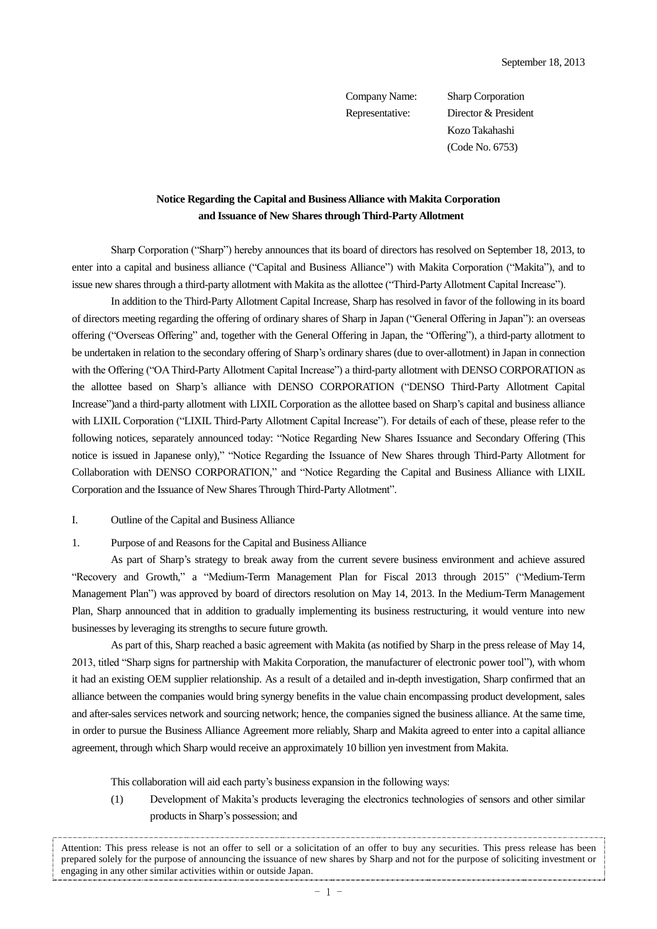Company Name: Sharp Corporation Representative: Director & President Kozo Takahashi (Code No. 6753)

# **Notice Regarding the Capital and Business Alliance with Makita Corporation and Issuance of New Shares through Third-Party Allotment**

Sharp Corporation ("Sharp") hereby announces that its board of directors has resolved on September 18, 2013, to enter into a capital and business alliance ("Capital and Business Alliance") with Makita Corporation ("Makita"), and to issue new shares through a third-party allotment with Makita as the allottee ("Third-Party Allotment Capital Increase").

In addition to the Third-Party Allotment Capital Increase, Sharp has resolved in favor of the following in its board of directors meeting regarding the offering of ordinary shares of Sharp in Japan ("General Offering in Japan"): an overseas offering ("Overseas Offering" and, together with the General Offering in Japan, the "Offering"), a third-party allotment to be undertaken in relation to the secondary offering of Sharp's ordinary shares (due to over-allotment) in Japan in connection with the Offering ("OA Third-Party Allotment Capital Increase") a third-party allotment with DENSO CORPORATION as the allottee based on Sharp's alliance with DENSO CORPORATION ("DENSO Third-Party Allotment Capital Increase")and a third-party allotment with LIXIL Corporation as the allottee based on Sharp's capital and business alliance with LIXIL Corporation ("LIXIL Third-Party Allotment Capital Increase"). For details of each of these, please refer to the following notices, separately announced today: "Notice Regarding New Shares Issuance and Secondary Offering (This notice is issued in Japanese only)," "Notice Regarding the Issuance of New Shares through Third-Party Allotment for Collaboration with DENSO CORPORATION," and "Notice Regarding the Capital and Business Alliance with LIXIL Corporation and the Issuance of New Shares Through Third-Party Allotment".

### I. Outline of the Capital and Business Alliance

#### 1. Purpose of and Reasons for the Capital and Business Alliance

As part of Sharp's strategy to break away from the current severe business environment and achieve assured "Recovery and Growth," a "Medium-Term Management Plan for Fiscal 2013 through 2015" ("Medium-Term Management Plan") was approved by board of directors resolution on May 14, 2013. In the Medium-Term Management Plan, Sharp announced that in addition to gradually implementing its business restructuring, it would venture into new businesses by leveraging its strengths to secure future growth.

As part of this, Sharp reached a basic agreement with Makita (as notified by Sharp in the press release of May 14, 2013, titled "Sharp signs for partnership with Makita Corporation, the manufacturer of electronic power tool"), with whom it had an existing OEM supplier relationship. As a result of a detailed and in-depth investigation, Sharp confirmed that an alliance between the companies would bring synergy benefits in the value chain encompassing product development, sales and after-sales services network and sourcing network; hence, the companies signed the business alliance. At the same time, in order to pursue the Business Alliance Agreement more reliably, Sharp and Makita agreed to enter into a capital alliance agreement, through which Sharp would receive an approximately 10 billion yen investment from Makita.

This collaboration will aid each party's business expansion in the following ways:

(1) Development of Makita's products leveraging the electronics technologies of sensors and other similar products in Sharp's possession; and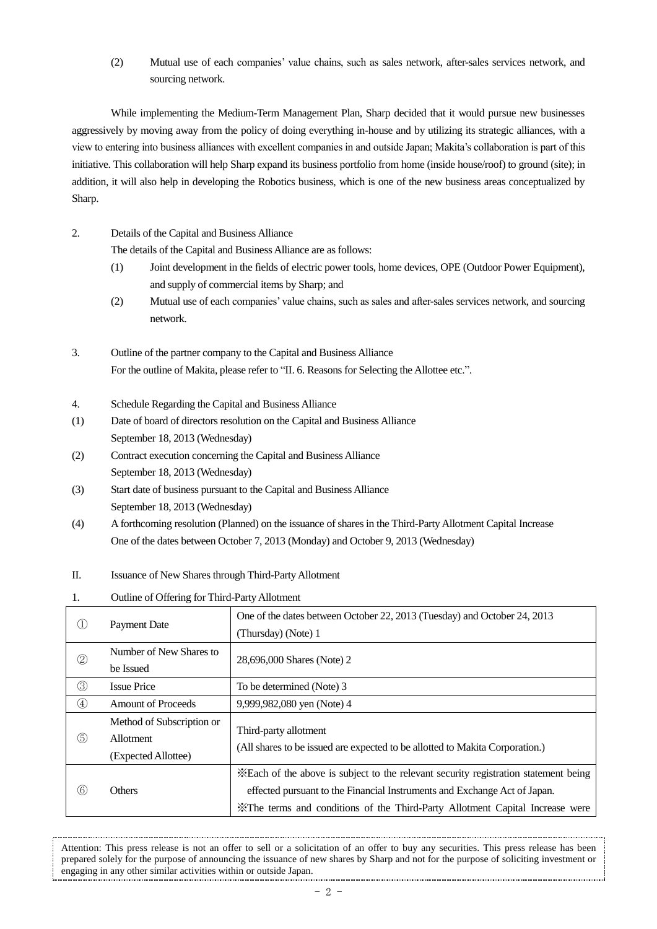(2) Mutual use of each companies' value chains, such as sales network, after-sales services network, and sourcing network.

While implementing the Medium-Term Management Plan, Sharp decided that it would pursue new businesses aggressively by moving away from the policy of doing everything in-house and by utilizing its strategic alliances, with a view to entering into business alliances with excellent companies in and outside Japan; Makita's collaboration is part of this initiative. This collaboration will help Sharp expand its business portfolio from home (inside house/roof) to ground (site); in addition, it will also help in developing the Robotics business, which is one of the new business areas conceptualized by Sharp.

2. Details of the Capital and Business Alliance

The details of the Capital and Business Alliance are as follows:

- (1) Joint development in the fields of electric power tools, home devices, OPE (Outdoor Power Equipment), and supply of commercial items by Sharp; and
- (2) Mutual use of each companies' value chains, such as sales and after-sales services network, and sourcing network.
- 3. Outline of the partner company to the Capital and Business Alliance For the outline of Makita, please refer to "II. 6. Reasons for Selecting the Allottee etc.".
- 4. Schedule Regarding the Capital and Business Alliance
- (1) Date of board of directors resolution on the Capital and Business Alliance September 18, 2013 (Wednesday)
- (2) Contract execution concerning the Capital and Business Alliance September 18, 2013 (Wednesday)
- (3) Start date of business pursuant to the Capital and Business Alliance September 18, 2013 (Wednesday)
- (4) A forthcoming resolution (Planned) on the issuance of shares in the Third-Party Allotment Capital Increase One of the dates between October 7, 2013 (Monday) and October 9, 2013 (Wednesday)
- II. Issuance of New Shares through Third-Party Allotment
- 1. Outline of Offering for Third-Party Allotment

|                | <b>Payment Date</b>                                           | One of the dates between October 22, 2013 (Tuesday) and October 24, 2013<br>(Thursday) (Note) 1                                                                                                                                                   |
|----------------|---------------------------------------------------------------|---------------------------------------------------------------------------------------------------------------------------------------------------------------------------------------------------------------------------------------------------|
| $^{\circledR}$ | Number of New Shares to<br>be Issued                          | 28,696,000 Shares (Note) 2                                                                                                                                                                                                                        |
| $\circledS$    | <b>Issue Price</b>                                            | To be determined (Note) 3                                                                                                                                                                                                                         |
| $\circled{4}$  | <b>Amount of Proceeds</b>                                     | 9,999,982,080 yen (Note) 4                                                                                                                                                                                                                        |
| (5)            | Method of Subscription or<br>Allotment<br>(Expected Allottee) | Third-party allotment<br>(All shares to be issued are expected to be allotted to Makita Corporation.)                                                                                                                                             |
| (6)            | Others                                                        | *Each of the above is subject to the relevant security registration statement being<br>effected pursuant to the Financial Instruments and Exchange Act of Japan.<br>X The terms and conditions of the Third-Party Allotment Capital Increase were |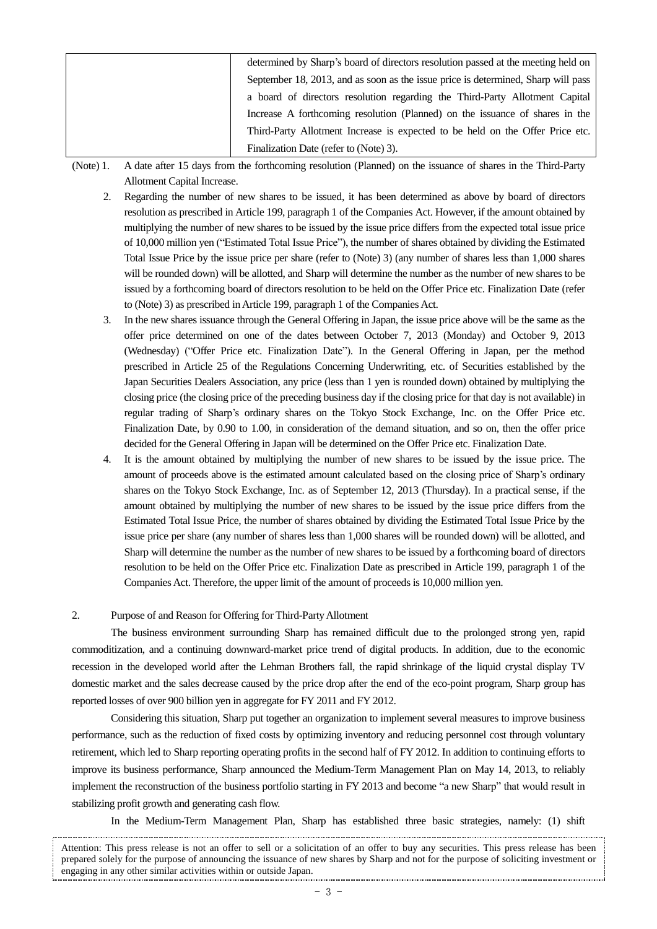| determined by Sharp's board of directors resolution passed at the meeting held on |
|-----------------------------------------------------------------------------------|
| September 18, 2013, and as soon as the issue price is determined, Sharp will pass |
| a board of directors resolution regarding the Third-Party Allotment Capital       |
| Increase A forthcoming resolution (Planned) on the issuance of shares in the      |
| Third-Party Allotment Increase is expected to be held on the Offer Price etc.     |
| Finalization Date (refer to (Note) 3).                                            |

(Note) 1. A date after 15 days from the forthcoming resolution (Planned) on the issuance of shares in the Third-Party Allotment Capital Increase.

- 2. Regarding the number of new shares to be issued, it has been determined as above by board of directors resolution as prescribed in Article 199, paragraph 1 of the Companies Act. However, if the amount obtained by multiplying the number of new shares to be issued by the issue price differs from the expected total issue price of 10,000 million yen ("Estimated Total Issue Price"), the number of shares obtained by dividing the Estimated Total Issue Price by the issue price per share (refer to (Note) 3) (any number of shares less than 1,000 shares will be rounded down) will be allotted, and Sharp will determine the number as the number of new shares to be issued by a forthcoming board of directors resolution to be held on the Offer Price etc. Finalization Date (refer to (Note) 3) as prescribed in Article 199, paragraph 1 of the Companies Act.
- 3. In the new shares issuance through the General Offering in Japan, the issue price above will be the same as the offer price determined on one of the dates between October 7, 2013 (Monday) and October 9, 2013 (Wednesday) ("Offer Price etc. Finalization Date"). In the General Offering in Japan, per the method prescribed in Article 25 of the Regulations Concerning Underwriting, etc. of Securities established by the Japan Securities Dealers Association, any price (less than 1 yen is rounded down) obtained by multiplying the closing price (the closing price of the preceding business day if the closing price for that day is not available) in regular trading of Sharp's ordinary shares on the Tokyo Stock Exchange, Inc. on the Offer Price etc. Finalization Date, by 0.90 to 1.00, in consideration of the demand situation, and so on, then the offer price decided for the General Offering in Japan will be determined on the Offer Price etc. Finalization Date.
- 4. It is the amount obtained by multiplying the number of new shares to be issued by the issue price. The amount of proceeds above is the estimated amount calculated based on the closing price of Sharp's ordinary shares on the Tokyo Stock Exchange, Inc. as of September 12, 2013 (Thursday). In a practical sense, if the amount obtained by multiplying the number of new shares to be issued by the issue price differs from the Estimated Total Issue Price, the number of shares obtained by dividing the Estimated Total Issue Price by the issue price per share (any number of shares less than 1,000 shares will be rounded down) will be allotted, and Sharp will determine the number as the number of new shares to be issued by a forthcoming board of directors resolution to be held on the Offer Price etc. Finalization Date as prescribed in Article 199, paragraph 1 of the Companies Act. Therefore, the upper limit of the amount of proceeds is 10,000 million yen.

## 2. Purpose of and Reason for Offering for Third-Party Allotment

The business environment surrounding Sharp has remained difficult due to the prolonged strong yen, rapid commoditization, and a continuing downward-market price trend of digital products. In addition, due to the economic recession in the developed world after the Lehman Brothers fall, the rapid shrinkage of the liquid crystal display TV domestic market and the sales decrease caused by the price drop after the end of the eco-point program, Sharp group has reported losses of over 900 billion yen in aggregate for FY 2011 and FY 2012.

Considering this situation, Sharp put together an organization to implement several measures to improve business performance, such as the reduction of fixed costs by optimizing inventory and reducing personnel cost through voluntary retirement, which led to Sharp reporting operating profits in the second half of FY 2012. In addition to continuing efforts to improve its business performance, Sharp announced the Medium-Term Management Plan on May 14, 2013, to reliably implement the reconstruction of the business portfolio starting in FY 2013 and become "a new Sharp" that would result in stabilizing profit growth and generating cash flow.

In the Medium-Term Management Plan, Sharp has established three basic strategies, namely: (1) shift

Attention: This press release is not an offer to sell or a solicitation of an offer to buy any securities. This press release has been prepared solely for the purpose of announcing the issuance of new shares by Sharp and not for the purpose of soliciting investment or engaging in any other similar activities within or outside Japan.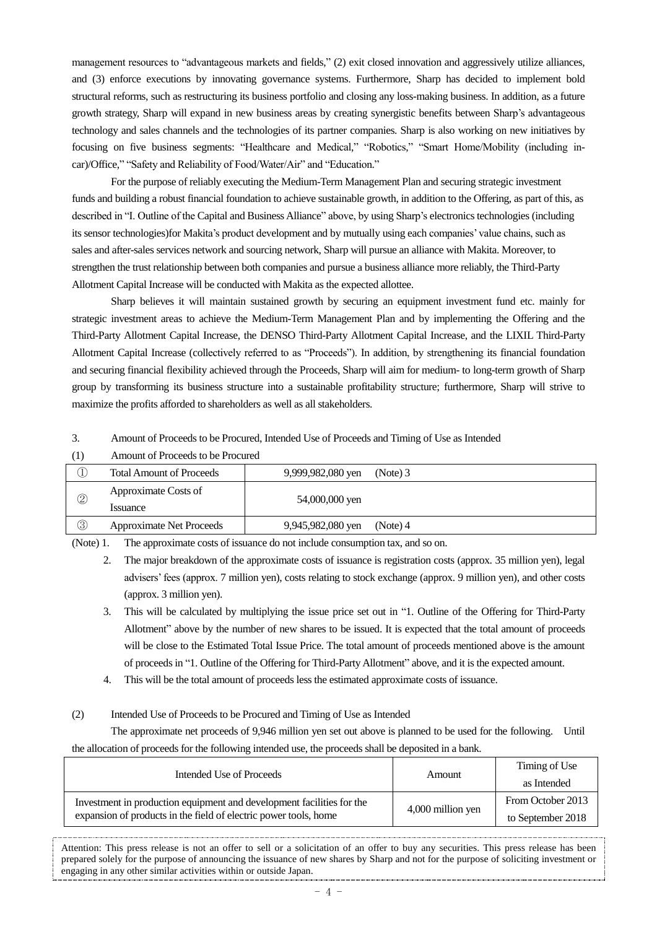management resources to "advantageous markets and fields," (2) exit closed innovation and aggressively utilize alliances, and (3) enforce executions by innovating governance systems. Furthermore, Sharp has decided to implement bold structural reforms, such as restructuring its business portfolio and closing any loss-making business. In addition, as a future growth strategy, Sharp will expand in new business areas by creating synergistic benefits between Sharp's advantageous technology and sales channels and the technologies of its partner companies. Sharp is also working on new initiatives by focusing on five business segments: "Healthcare and Medical," "Robotics," "Smart Home/Mobility (including incar)/Office," "Safety and Reliability of Food/Water/Air" and "Education."

For the purpose of reliably executing the Medium-Term Management Plan and securing strategic investment funds and building a robust financial foundation to achieve sustainable growth, in addition to the Offering, as part of this, as described in "I. Outline of the Capital and Business Alliance" above, by using Sharp's electronics technologies (including its sensor technologies)for Makita's product development and by mutually using each companies' value chains, such as sales and after-sales services network and sourcing network, Sharp will pursue an alliance with Makita. Moreover, to strengthen the trust relationship between both companies and pursue a business alliance more reliably, the Third-Party Allotment Capital Increase will be conducted with Makita as the expected allottee.

Sharp believes it will maintain sustained growth by securing an equipment investment fund etc. mainly for strategic investment areas to achieve the Medium-Term Management Plan and by implementing the Offering and the Third-Party Allotment Capital Increase, the DENSO Third-Party Allotment Capital Increase, and the LIXIL Third-Party Allotment Capital Increase (collectively referred to as "Proceeds"). In addition, by strengthening its financial foundation and securing financial flexibility achieved through the Proceeds, Sharp will aim for medium- to long-term growth of Sharp group by transforming its business structure into a sustainable profitability structure; furthermore, Sharp will strive to maximize the profits afforded to shareholders as well as all stakeholders.

## 3. Amount of Proceeds to be Procured, Intended Use of Proceeds and Timing of Use as Intended

|                | Amount of Proceeds to be Procured      |                   |          |
|----------------|----------------------------------------|-------------------|----------|
|                | <b>Total Amount of Proceeds</b>        | 9,999,982,080 yen | (Note) 3 |
| $^{\circledR}$ | Approximate Costs of<br><i>ssuance</i> | 54,000,000 yen    |          |
| ③              | <b>Approximate Net Proceeds</b>        | 9,945,982,080 yen | (Note) 4 |

(Note) 1. The approximate costs of issuance do not include consumption tax, and so on.

2. The major breakdown of the approximate costs of issuance is registration costs (approx. 35 million yen), legal advisers' fees (approx. 7 million yen), costs relating to stock exchange (approx. 9 million yen), and other costs (approx. 3 million yen).

- 3. This will be calculated by multiplying the issue price set out in "1. Outline of the Offering for Third-Party Allotment" above by the number of new shares to be issued. It is expected that the total amount of proceeds will be close to the Estimated Total Issue Price. The total amount of proceeds mentioned above is the amount of proceeds in "1. Outline of the Offering for Third-Party Allotment" above, and it is the expected amount.
- 4. This will be the total amount of proceeds less the estimated approximate costs of issuance.

# (2) Intended Use of Proceeds to be Procured and Timing of Use as Intended

The approximate net proceeds of 9,946 million yen set out above is planned to be used for the following. Until the allocation of proceeds for the following intended use, the proceeds shall be deposited in a bank.

| Intended Use of Proceeds                                                                                                                  | Amount            | Timing of Use<br>as Intended           |
|-------------------------------------------------------------------------------------------------------------------------------------------|-------------------|----------------------------------------|
| Investment in production equipment and development facilities for the<br>expansion of products in the field of electric power tools, home | 4,000 million yen | From October 2013<br>to September 2018 |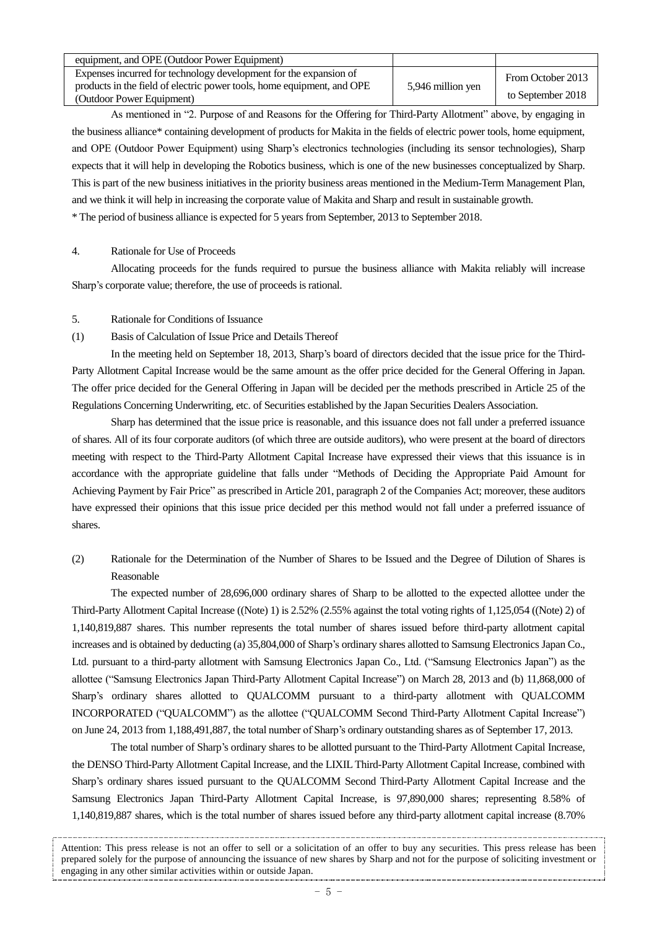| equipment, and OPE (Outdoor Power Equipment)                           |                   |                   |
|------------------------------------------------------------------------|-------------------|-------------------|
| Expenses incurred for technology development for the expansion of      |                   | From October 2013 |
| products in the field of electric power tools, home equipment, and OPE | 5,946 million yen |                   |
| (Outdoor Power Equipment)                                              |                   | to September 2018 |

As mentioned in "2. Purpose of and Reasons for the Offering for Third-Party Allotment" above, by engaging in the business alliance\* containing development of products for Makita in the fields of electric power tools, home equipment, and OPE (Outdoor Power Equipment) using Sharp's electronics technologies (including its sensor technologies), Sharp expects that it will help in developing the Robotics business, which is one of the new businesses conceptualized by Sharp. This is part of the new business initiatives in the priority business areas mentioned in the Medium-Term Management Plan, and we think it will help in increasing the corporate value of Makita and Sharp and result in sustainable growth. \* The period of business alliance is expected for 5 years from September, 2013 to September 2018.

## 4. Rationale for Use of Proceeds

Allocating proceeds for the funds required to pursue the business alliance with Makita reliably will increase Sharp's corporate value; therefore, the use of proceeds is rational.

## 5. Rationale for Conditions of Issuance

# (1) Basis of Calculation of Issue Price and Details Thereof

In the meeting held on September 18, 2013, Sharp's board of directors decided that the issue price for the Third-Party Allotment Capital Increase would be the same amount as the offer price decided for the General Offering in Japan. The offer price decided for the General Offering in Japan will be decided per the methods prescribed in Article 25 of the Regulations Concerning Underwriting, etc. of Securities established by the Japan Securities Dealers Association.

Sharp has determined that the issue price is reasonable, and this issuance does not fall under a preferred issuance of shares. All of its four corporate auditors (of which three are outside auditors), who were present at the board of directors meeting with respect to the Third-Party Allotment Capital Increase have expressed their views that this issuance is in accordance with the appropriate guideline that falls under "Methods of Deciding the Appropriate Paid Amount for Achieving Payment by Fair Price" as prescribed in Article 201, paragraph 2 of the Companies Act; moreover, these auditors have expressed their opinions that this issue price decided per this method would not fall under a preferred issuance of shares.

(2) Rationale for the Determination of the Number of Shares to be Issued and the Degree of Dilution of Shares is Reasonable

The expected number of 28,696,000 ordinary shares of Sharp to be allotted to the expected allottee under the Third-Party Allotment Capital Increase ((Note) 1) is 2.52% (2.55% against the total voting rights of 1,125,054 ((Note) 2) of 1,140,819,887 shares. This number represents the total number of shares issued before third-party allotment capital increases and is obtained by deducting (a) 35,804,000 of Sharp's ordinary shares allotted to Samsung Electronics Japan Co., Ltd. pursuant to a third-party allotment with Samsung Electronics Japan Co., Ltd. ("Samsung Electronics Japan") as the allottee ("Samsung Electronics Japan Third-Party Allotment Capital Increase") on March 28, 2013 and (b) 11,868,000 of Sharp's ordinary shares allotted to QUALCOMM pursuant to a third-party allotment with QUALCOMM INCORPORATED ("QUALCOMM") as the allottee ("QUALCOMM Second Third-Party Allotment Capital Increase") on June 24, 2013 from 1,188,491,887, the total number of Sharp's ordinary outstanding shares as of September 17, 2013.

The total number of Sharp's ordinary shares to be allotted pursuant to the Third-Party Allotment Capital Increase, the DENSO Third-Party Allotment Capital Increase, and the LIXIL Third-Party Allotment Capital Increase, combined with Sharp's ordinary shares issued pursuant to the QUALCOMM Second Third-Party Allotment Capital Increase and the Samsung Electronics Japan Third-Party Allotment Capital Increase, is 97,890,000 shares; representing 8.58% of 1,140,819,887 shares, which is the total number of shares issued before any third-party allotment capital increase (8.70%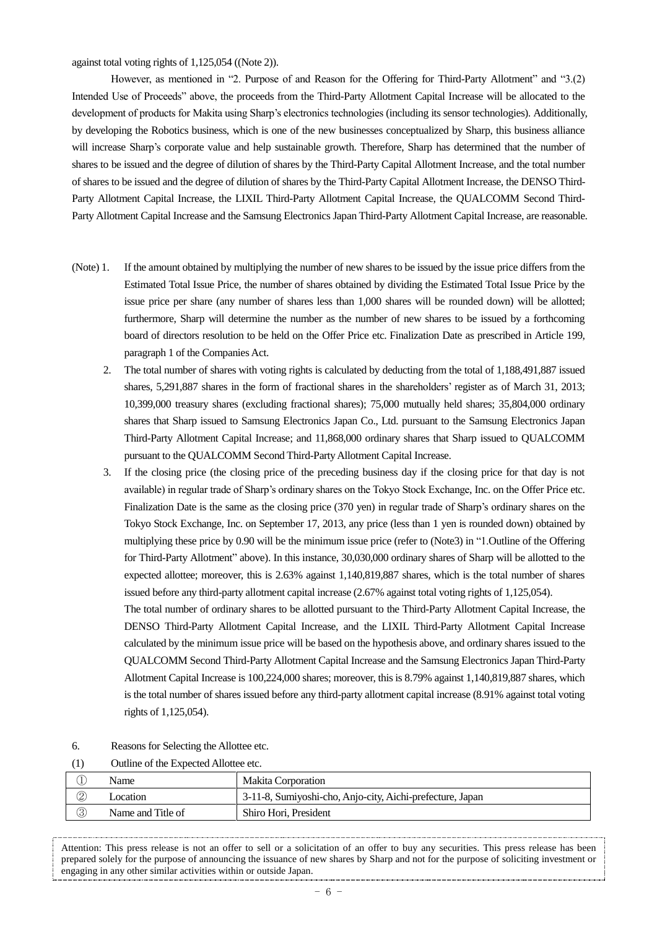against total voting rights of 1,125,054 ((Note 2)).

However, as mentioned in "2. Purpose of and Reason for the Offering for Third-Party Allotment" and "3.(2) Intended Use of Proceeds" above, the proceeds from the Third-Party Allotment Capital Increase will be allocated to the development of products for Makita using Sharp's electronics technologies (including its sensor technologies). Additionally, by developing the Robotics business, which is one of the new businesses conceptualized by Sharp, this business alliance will increase Sharp's corporate value and help sustainable growth. Therefore, Sharp has determined that the number of shares to be issued and the degree of dilution of shares by the Third-Party Capital Allotment Increase, and the total number of shares to be issued and the degree of dilution of shares by the Third-Party Capital Allotment Increase, the DENSO Third-Party Allotment Capital Increase, the LIXIL Third-Party Allotment Capital Increase, the QUALCOMM Second Third-Party Allotment Capital Increase and the Samsung Electronics Japan Third-Party Allotment Capital Increase, are reasonable.

- (Note) 1. If the amount obtained by multiplying the number of new shares to be issued by the issue price differs from the Estimated Total Issue Price, the number of shares obtained by dividing the Estimated Total Issue Price by the issue price per share (any number of shares less than 1,000 shares will be rounded down) will be allotted; furthermore, Sharp will determine the number as the number of new shares to be issued by a forthcoming board of directors resolution to be held on the Offer Price etc. Finalization Date as prescribed in Article 199, paragraph 1 of the Companies Act.
	- 2. The total number of shares with voting rights is calculated by deducting from the total of 1,188,491,887 issued shares, 5,291,887 shares in the form of fractional shares in the shareholders' register as of March 31, 2013; 10,399,000 treasury shares (excluding fractional shares); 75,000 mutually held shares; 35,804,000 ordinary shares that Sharp issued to Samsung Electronics Japan Co., Ltd. pursuant to the Samsung Electronics Japan Third-Party Allotment Capital Increase; and 11,868,000 ordinary shares that Sharp issued to QUALCOMM pursuant to the QUALCOMM Second Third-Party Allotment Capital Increase.
	- 3. If the closing price (the closing price of the preceding business day if the closing price for that day is not available) in regular trade of Sharp's ordinary shares on the Tokyo Stock Exchange, Inc. on the Offer Price etc. Finalization Date is the same as the closing price (370 yen) in regular trade of Sharp's ordinary shares on the Tokyo Stock Exchange, Inc. on September 17, 2013, any price (less than 1 yen is rounded down) obtained by multiplying these price by 0.90 will be the minimum issue price (refer to (Note3) in "1.Outline of the Offering for Third-Party Allotment" above). In this instance, 30,030,000 ordinary shares of Sharp will be allotted to the expected allottee; moreover, this is 2.63% against 1,140,819,887 shares, which is the total number of shares issued before any third-party allotment capital increase (2.67% against total voting rights of 1,125,054).

The total number of ordinary shares to be allotted pursuant to the Third-Party Allotment Capital Increase, the DENSO Third-Party Allotment Capital Increase, and the LIXIL Third-Party Allotment Capital Increase calculated by the minimum issue price will be based on the hypothesis above, and ordinary shares issued to the QUALCOMM Second Third-Party Allotment Capital Increase and the Samsung Electronics Japan Third-Party Allotment Capital Increase is 100,224,000 shares; moreover, this is 8.79% against 1,140,819,887 shares, which is the total number of shares issued before any third-party allotment capital increase (8.91% against total voting rights of 1,125,054).

6. Reasons for Selecting the Allottee etc.

| (1) | Outline of the Expected Allottee etc. |
|-----|---------------------------------------|
|-----|---------------------------------------|

|                 | Name              | Makita Corporation                                        |
|-----------------|-------------------|-----------------------------------------------------------|
| $^{\copyright}$ | ocation           | 3-11-8, Sumiyoshi-cho, Anjo-city, Aichi-prefecture, Japan |
| $\circledS$     | Name and Title of | Shiro Hori, President                                     |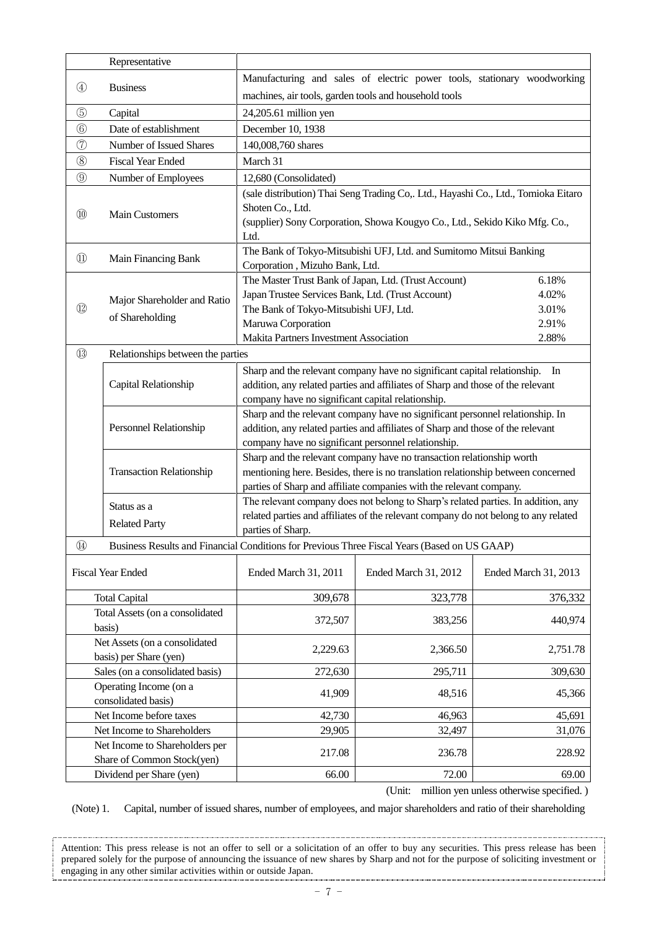|                                   | Representative                                          |                                                                                                          |                                                                                    |                      |  |  |
|-----------------------------------|---------------------------------------------------------|----------------------------------------------------------------------------------------------------------|------------------------------------------------------------------------------------|----------------------|--|--|
|                                   |                                                         | Manufacturing and sales of electric power tools, stationary woodworking                                  |                                                                                    |                      |  |  |
| $\circled{4}$                     | <b>Business</b>                                         | machines, air tools, garden tools and household tools                                                    |                                                                                    |                      |  |  |
| $\circledS$                       | Capital                                                 | 24,205.61 million yen                                                                                    |                                                                                    |                      |  |  |
| $\circledS$                       | Date of establishment                                   | December 10, 1938                                                                                        |                                                                                    |                      |  |  |
| $^\circledR$                      | Number of Issued Shares                                 | 140,008,760 shares                                                                                       |                                                                                    |                      |  |  |
| $\circledS$                       | <b>Fiscal Year Ended</b>                                | March 31                                                                                                 |                                                                                    |                      |  |  |
| $\circled{0}$                     | Number of Employees                                     | 12,680 (Consolidated)                                                                                    |                                                                                    |                      |  |  |
|                                   |                                                         |                                                                                                          | (sale distribution) Thai Seng Trading Co,. Ltd., Hayashi Co., Ltd., Tomioka Eitaro |                      |  |  |
|                                   |                                                         | Shoten Co., Ltd.                                                                                         |                                                                                    |                      |  |  |
| $^{\circledR}$                    | <b>Main Customers</b>                                   |                                                                                                          | (supplier) Sony Corporation, Showa Kougyo Co., Ltd., Sekido Kiko Mfg. Co.,         |                      |  |  |
|                                   |                                                         | Ltd.                                                                                                     |                                                                                    |                      |  |  |
| $^{\textcircled{\scriptsize{1}}}$ | Main Financing Bank                                     |                                                                                                          | The Bank of Tokyo-Mitsubishi UFJ, Ltd. and Sumitomo Mitsui Banking                 |                      |  |  |
|                                   |                                                         | Corporation, Mizuho Bank, Ltd.                                                                           |                                                                                    |                      |  |  |
|                                   |                                                         | The Master Trust Bank of Japan, Ltd. (Trust Account)                                                     |                                                                                    | 6.18%                |  |  |
| $\left( 1\right)$                 | Major Shareholder and Ratio                             | Japan Trustee Services Bank, Ltd. (Trust Account)<br>The Bank of Tokyo-Mitsubishi UFJ, Ltd.              |                                                                                    | 4.02%<br>3.01%       |  |  |
|                                   | of Shareholding                                         | Maruwa Corporation                                                                                       |                                                                                    | 2.91%                |  |  |
|                                   |                                                         | Makita Partners Investment Association                                                                   |                                                                                    | 2.88%                |  |  |
| $\circled{1}$                     | Relationships between the parties                       |                                                                                                          |                                                                                    |                      |  |  |
|                                   |                                                         |                                                                                                          | Sharp and the relevant company have no significant capital relationship.           | In                   |  |  |
|                                   | Capital Relationship                                    | addition, any related parties and affiliates of Sharp and those of the relevant                          |                                                                                    |                      |  |  |
|                                   |                                                         | company have no significant capital relationship.                                                        |                                                                                    |                      |  |  |
|                                   |                                                         | Sharp and the relevant company have no significant personnel relationship. In                            |                                                                                    |                      |  |  |
|                                   | Personnel Relationship                                  | addition, any related parties and affiliates of Sharp and those of the relevant                          |                                                                                    |                      |  |  |
|                                   |                                                         | company have no significant personnel relationship.                                                      |                                                                                    |                      |  |  |
|                                   |                                                         | Sharp and the relevant company have no transaction relationship worth                                    |                                                                                    |                      |  |  |
|                                   | <b>Transaction Relationship</b>                         | mentioning here. Besides, there is no translation relationship between concerned                         |                                                                                    |                      |  |  |
|                                   |                                                         |                                                                                                          | parties of Sharp and affiliate companies with the relevant company.                |                      |  |  |
|                                   | Status as a                                             |                                                                                                          | The relevant company does not belong to Sharp's related parties. In addition, any  |                      |  |  |
|                                   | <b>Related Party</b>                                    | related parties and affiliates of the relevant company do not belong to any related<br>parties of Sharp. |                                                                                    |                      |  |  |
| $\circled{4}$                     |                                                         | Business Results and Financial Conditions for Previous Three Fiscal Years (Based on US GAAP)             |                                                                                    |                      |  |  |
|                                   |                                                         |                                                                                                          |                                                                                    |                      |  |  |
|                                   | <b>Fiscal Year Ended</b>                                | Ended March 31, 2011                                                                                     | Ended March 31, 2012                                                               | Ended March 31, 2013 |  |  |
|                                   |                                                         |                                                                                                          | 323,778                                                                            |                      |  |  |
|                                   | <b>Total Capital</b><br>Total Assets (on a consolidated | 309,678                                                                                                  |                                                                                    | 376,332              |  |  |
|                                   | basis)                                                  | 372,507                                                                                                  | 383,256                                                                            | 440,974              |  |  |
|                                   | Net Assets (on a consolidated                           |                                                                                                          |                                                                                    |                      |  |  |
| basis) per Share (yen)            |                                                         | 2,229.63                                                                                                 | 2,366.50                                                                           | 2,751.78             |  |  |
|                                   | Sales (on a consolidated basis)                         | 272,630                                                                                                  | 295,711                                                                            | 309,630              |  |  |
|                                   | Operating Income (on a                                  | 41,909                                                                                                   | 48,516                                                                             | 45,366               |  |  |
|                                   | consolidated basis)                                     |                                                                                                          |                                                                                    |                      |  |  |
|                                   | Net Income before taxes                                 | 42,730                                                                                                   | 46,963                                                                             | 45,691               |  |  |
|                                   | Net Income to Shareholders                              | 29,905                                                                                                   | 32,497                                                                             | 31,076               |  |  |
|                                   | Net Income to Shareholders per                          | 217.08                                                                                                   | 236.78                                                                             | 228.92               |  |  |
|                                   | Share of Common Stock(yen)                              |                                                                                                          |                                                                                    |                      |  |  |
|                                   | Dividend per Share (yen)                                | 66.00                                                                                                    | 72.00                                                                              | 69.00                |  |  |

(Unit: million yen unless otherwise specified. )

(Note) 1. Capital, number of issued shares, number of employees, and major shareholders and ratio of their shareholding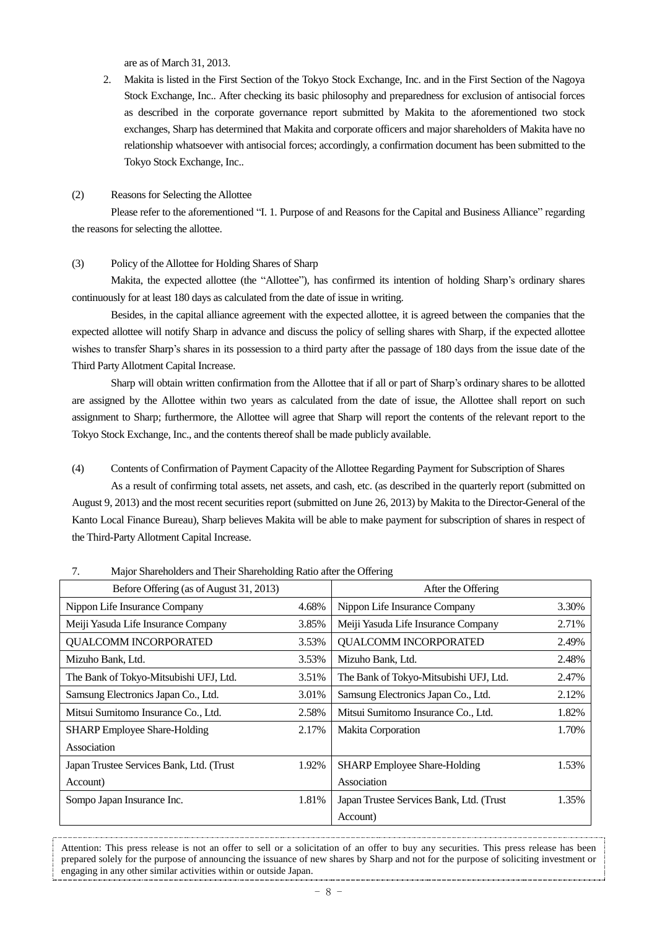are as of March 31, 2013.

2. Makita is listed in the First Section of the Tokyo Stock Exchange, Inc. and in the First Section of the Nagoya Stock Exchange, Inc.. After checking its basic philosophy and preparedness for exclusion of antisocial forces as described in the corporate governance report submitted by Makita to the aforementioned two stock exchanges, Sharp has determined that Makita and corporate officers and major shareholders of Makita have no relationship whatsoever with antisocial forces; accordingly, a confirmation document has been submitted to the Tokyo Stock Exchange, Inc..

#### (2) Reasons for Selecting the Allottee

Please refer to the aforementioned "I. 1. Purpose of and Reasons for the Capital and Business Alliance" regarding the reasons for selecting the allottee.

### (3) Policy of the Allottee for Holding Shares of Sharp

Makita, the expected allottee (the "Allottee"), has confirmed its intention of holding Sharp's ordinary shares continuously for at least 180 days as calculated from the date of issue in writing.

Besides, in the capital alliance agreement with the expected allottee, it is agreed between the companies that the expected allottee will notify Sharp in advance and discuss the policy of selling shares with Sharp, if the expected allottee wishes to transfer Sharp's shares in its possession to a third party after the passage of 180 days from the issue date of the Third Party Allotment Capital Increase.

Sharp will obtain written confirmation from the Allottee that if all or part of Sharp's ordinary shares to be allotted are assigned by the Allottee within two years as calculated from the date of issue, the Allottee shall report on such assignment to Sharp; furthermore, the Allottee will agree that Sharp will report the contents of the relevant report to the Tokyo Stock Exchange, Inc., and the contents thereof shall be made publicly available.

(4) Contents of Confirmation of Payment Capacity of the Allottee Regarding Payment for Subscription of Shares

As a result of confirming total assets, net assets, and cash, etc. (as described in the quarterly report (submitted on August 9, 2013) and the most recent securities report (submitted on June 26, 2013) by Makita to the Director-General of the Kanto Local Finance Bureau), Sharp believes Makita will be able to make payment for subscription of shares in respect of the Third-Party Allotment Capital Increase.

| $\ldots$ , $\ldots$ , $\ldots$ , $\ldots$ , $\ldots$ , $\ldots$ , $\ldots$ , $\ldots$ , $\ldots$ , $\ldots$ , $\ldots$ , $\ldots$ , $\ldots$ , $\ldots$ , $\ldots$ , $\ldots$ , $\ldots$ , $\ldots$ , $\ldots$ , $\ldots$ , $\ldots$ , $\ldots$ , $\ldots$ , $\ldots$ , $\ldots$ , $\ldots$ , $\ldots$ , $\ldots$ , $\ldots$ , $\ldots$ , $\ldots$ , $\ldots$ |       |                                          |       |
|---------------------------------------------------------------------------------------------------------------------------------------------------------------------------------------------------------------------------------------------------------------------------------------------------------------------------------------------------------------|-------|------------------------------------------|-------|
| Before Offering (as of August 31, 2013)                                                                                                                                                                                                                                                                                                                       |       | After the Offering                       |       |
| Nippon Life Insurance Company                                                                                                                                                                                                                                                                                                                                 | 4.68% | Nippon Life Insurance Company            | 3.30% |
| Meiji Yasuda Life Insurance Company                                                                                                                                                                                                                                                                                                                           | 3.85% | Meiji Yasuda Life Insurance Company      | 2.71% |
| QUALCOMM INCORPORATED                                                                                                                                                                                                                                                                                                                                         | 3.53% | QUALCOMM INCORPORATED                    | 2.49% |
| Mizuho Bank, Ltd.                                                                                                                                                                                                                                                                                                                                             | 3.53% | Mizuho Bank, Ltd.                        | 2.48% |
| The Bank of Tokyo-Mitsubishi UFJ, Ltd.                                                                                                                                                                                                                                                                                                                        | 3.51% | The Bank of Tokyo-Mitsubishi UFJ, Ltd.   | 2.47% |
| Samsung Electronics Japan Co., Ltd.                                                                                                                                                                                                                                                                                                                           | 3.01% | Samsung Electronics Japan Co., Ltd.      | 2.12% |
| Mitsui Sumitomo Insurance Co., Ltd.                                                                                                                                                                                                                                                                                                                           | 2.58% | Mitsui Sumitomo Insurance Co., Ltd.      | 1.82% |
| <b>SHARP</b> Employee Share-Holding                                                                                                                                                                                                                                                                                                                           | 2.17% | Makita Corporation                       | 1.70% |
| Association                                                                                                                                                                                                                                                                                                                                                   |       |                                          |       |
| Japan Trustee Services Bank, Ltd. (Trust                                                                                                                                                                                                                                                                                                                      | 1.92% | <b>SHARP</b> Employee Share-Holding      | 1.53% |
| Account)                                                                                                                                                                                                                                                                                                                                                      |       | Association                              |       |
| Sompo Japan Insurance Inc.                                                                                                                                                                                                                                                                                                                                    | 1.81% | Japan Trustee Services Bank, Ltd. (Trust | 1.35% |
|                                                                                                                                                                                                                                                                                                                                                               |       | Account)                                 |       |

7. Major Shareholders and Their Shareholding Ratio after the Offering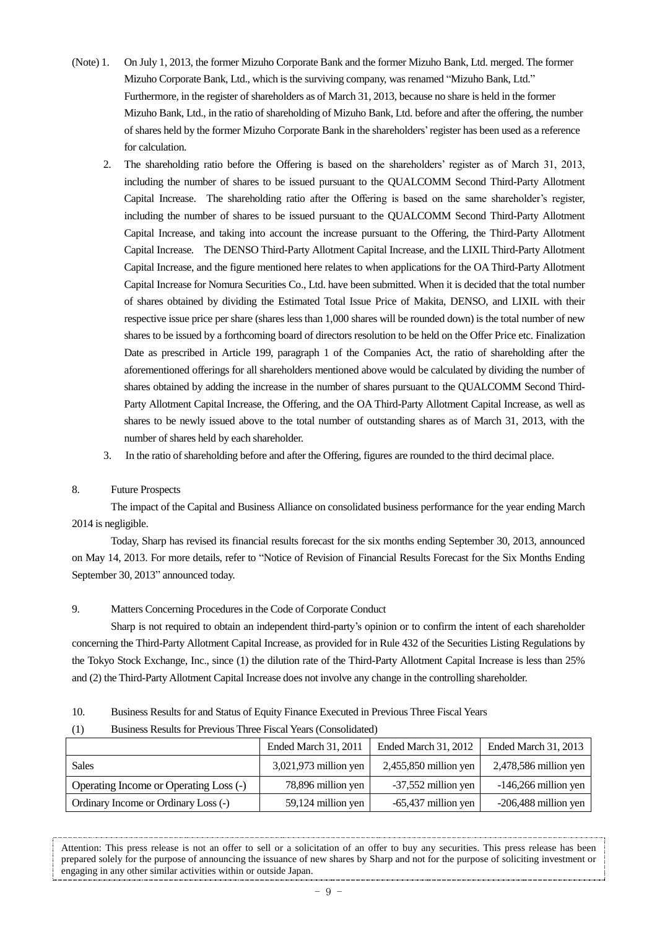- (Note) 1. On July 1, 2013, the former Mizuho Corporate Bank and the former Mizuho Bank, Ltd. merged. The former Mizuho Corporate Bank, Ltd., which is the surviving company, was renamed "Mizuho Bank, Ltd." Furthermore, in the register of shareholders as of March 31, 2013, because no share is held in the former Mizuho Bank, Ltd., in the ratio of shareholding of Mizuho Bank, Ltd. before and after the offering, the number of shares held by the former Mizuho Corporate Bank in the shareholders'register has been used as a reference for calculation.
	- 2. The shareholding ratio before the Offering is based on the shareholders' register as of March 31, 2013, including the number of shares to be issued pursuant to the QUALCOMM Second Third-Party Allotment Capital Increase. The shareholding ratio after the Offering is based on the same shareholder's register, including the number of shares to be issued pursuant to the QUALCOMM Second Third-Party Allotment Capital Increase, and taking into account the increase pursuant to the Offering, the Third-Party Allotment Capital Increase. The DENSO Third-Party Allotment Capital Increase, and the LIXIL Third-Party Allotment Capital Increase, and the figure mentioned here relates to when applications for the OA Third-Party Allotment Capital Increase for Nomura Securities Co., Ltd. have been submitted. When it is decided that the total number of shares obtained by dividing the Estimated Total Issue Price of Makita, DENSO, and LIXIL with their respective issue price per share (shares less than 1,000 shares will be rounded down) is the total number of new shares to be issued by a forthcoming board of directors resolution to be held on the Offer Price etc. Finalization Date as prescribed in Article 199, paragraph 1 of the Companies Act, the ratio of shareholding after the aforementioned offerings for all shareholders mentioned above would be calculated by dividing the number of shares obtained by adding the increase in the number of shares pursuant to the QUALCOMM Second Third-Party Allotment Capital Increase, the Offering, and the OA Third-Party Allotment Capital Increase, as well as shares to be newly issued above to the total number of outstanding shares as of March 31, 2013, with the number of shares held by each shareholder.
	- 3. In the ratio of shareholding before and after the Offering, figures are rounded to the third decimal place.

### 8. Future Prospects

The impact of the Capital and Business Alliance on consolidated business performance for the year ending March 2014 is negligible.

Today, Sharp has revised its financial results forecast for the six months ending September 30, 2013, announced on May 14, 2013. For more details, refer to "Notice of Revision of Financial Results Forecast for the Six Months Ending September 30, 2013" announced today.

# 9. Matters Concerning Procedures in the Code of Corporate Conduct

Sharp is not required to obtain an independent third-party's opinion or to confirm the intent of each shareholder concerning the Third-Party Allotment Capital Increase, as provided for in Rule 432 of the Securities Listing Regulations by the Tokyo Stock Exchange, Inc., since (1) the dilution rate of the Third-Party Allotment Capital Increase is less than 25% and (2) the Third-Party Allotment Capital Increase does not involve any change in the controlling shareholder.

10. Business Results for and Status of Equity Finance Executed in Previous Three Fiscal Years

| (1) |  |  |  | Business Results for Previous Three Fiscal Years (Consolidated) |  |
|-----|--|--|--|-----------------------------------------------------------------|--|
|     |  |  |  |                                                                 |  |

|                                        | Ended March 31, 2011    | Ended March 31, 2012    | Ended March 31, 2013    |
|----------------------------------------|-------------------------|-------------------------|-------------------------|
| Sales                                  | $3,021,973$ million yen | $2,455,850$ million yen | $2,478,586$ million yen |
| Operating Income or Operating Loss (-) | 78,896 million yen      | -37,552 million yen     | $-146,266$ million yen  |
| Ordinary Income or Ordinary Loss (-)   | 59,124 million yen      | $-65,437$ million yen   | $-206,488$ million yen  |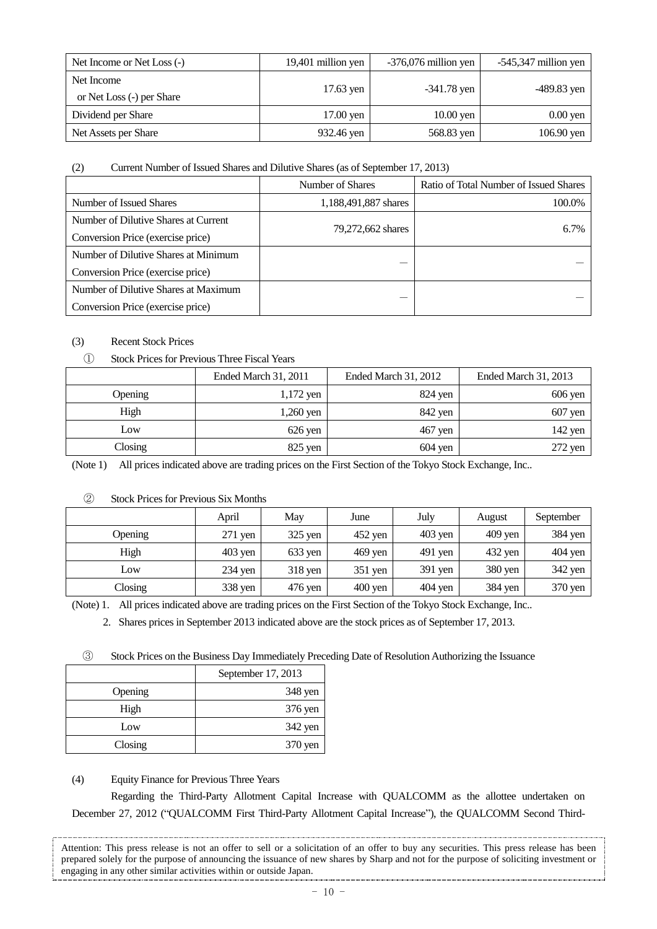| Net Income or Net Loss (-)              | 19,401 million yen | $-376,076$ million yen | $-545,347$ million yen |
|-----------------------------------------|--------------------|------------------------|------------------------|
| Net Income<br>or Net Loss (-) per Share | 17.63 yen          | $-341.78$ yen          | $-489.83$ yen          |
| Dividend per Share                      | $17.00$ yen        | $10.00$ yen            | $0.00$ yen             |
| Net Assets per Share                    | 932.46 yen         | 568.83 yen             | $106.90$ yen           |

# (2) Current Number of Issued Shares and Dilutive Shares (as of September 17, 2013)

|                                      | Number of Shares     | Ratio of Total Number of Issued Shares |
|--------------------------------------|----------------------|----------------------------------------|
| Number of Issued Shares              | 1,188,491,887 shares | 100.0%                                 |
| Number of Dilutive Shares at Current |                      |                                        |
| Conversion Price (exercise price)    | 79,272,662 shares    | 6.7%                                   |
| Number of Dilutive Shares at Minimum |                      |                                        |
| Conversion Price (exercise price)    |                      |                                        |
| Number of Dilutive Shares at Maximum |                      |                                        |
| Conversion Price (exercise price)    |                      |                                        |

# (3) Recent Stock Prices

# ① Stock Prices for Previous Three Fiscal Years

|         | Ended March 31, 2011 | Ended March 31, 2012 | <b>Ended March 31, 2013</b> |
|---------|----------------------|----------------------|-----------------------------|
| Opening | $1,172$ yen          | 824 yen              | $606$ yen                   |
| High    | $1,260$ yen          | 842 yen              | $607$ yen                   |
| Low     | $626$ yen            | $467$ yen            | $142$ yen                   |
| Closing | $825$ yen            | $604$ yen            | $272$ yen                   |

(Note 1) All prices indicated above are trading prices on the First Section of the Tokyo Stock Exchange, Inc..

|         | April     | May       | June              | July      | August    | September |
|---------|-----------|-----------|-------------------|-----------|-----------|-----------|
| Opening | $271$ yen | $325$ yen | $452$ yen         | $403$ yen | $409$ yen | 384 yen   |
| High    | $403$ yen | $633$ yen | $469$ yen         | 491 yen   | 432 yen   | $404$ yen |
| Low     | $234$ yen | $318$ yen | $351$ yen         | $391$ yen | 380 yen   | $342$ yen |
| Closing | 338 yen   | 476 yen   | $400 \text{ yen}$ | 404 yen   | 384 yen   | 370 yen   |

### ② Stock Prices for Previous Six Months

(Note) 1. All prices indicated above are trading prices on the First Section of the Tokyo Stock Exchange, Inc..

2. Shares prices in September 2013 indicated above are the stock prices as of September 17, 2013.

③ Stock Prices on the Business Day Immediately Preceding Date of Resolution Authorizing the Issuance

|         | September 17, 2013 |  |
|---------|--------------------|--|
| Opening | 348 yen            |  |
| High    | 376 yen            |  |
| Low     | 342 yen            |  |
| Closing | 370 yen            |  |

(4) Equity Finance for Previous Three Years

Regarding the Third-Party Allotment Capital Increase with QUALCOMM as the allottee undertaken on December 27, 2012 ("QUALCOMM First Third-Party Allotment Capital Increase"), the QUALCOMM Second Third-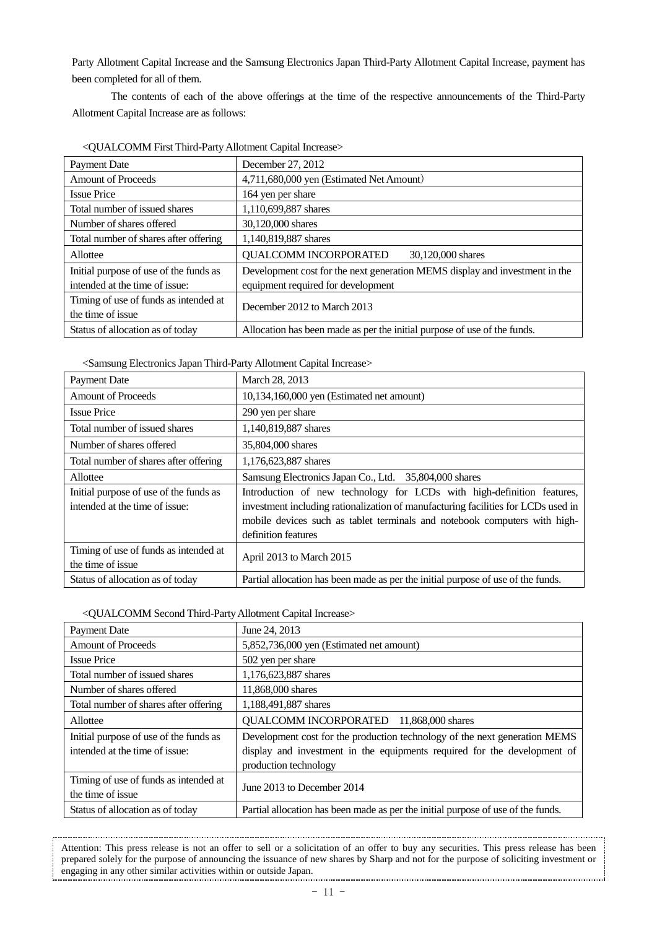Party Allotment Capital Increase and the Samsung Electronics Japan Third-Party Allotment Capital Increase, payment has been completed for all of them.

The contents of each of the above offerings at the time of the respective announcements of the Third-Party Allotment Capital Increase are as follows:

| <b>Payment Date</b>                    | December 27, 2012                                                           |
|----------------------------------------|-----------------------------------------------------------------------------|
| <b>Amount of Proceeds</b>              | 4,711,680,000 yen (Estimated Net Amount)                                    |
| <b>Issue Price</b>                     | 164 yen per share                                                           |
| Total number of issued shares          | 1,110,699,887 shares                                                        |
| Number of shares offered               | 30,120,000 shares                                                           |
| Total number of shares after offering  | 1,140,819,887 shares                                                        |
| Allottee                               | <b>QUALCOMM INCORPORATED</b><br>30,120,000 shares                           |
| Initial purpose of use of the funds as | Development cost for the next generation MEMS display and investment in the |
| intended at the time of issue:         | equipment required for development                                          |
| Timing of use of funds as intended at  | December 2012 to March 2013                                                 |
| the time of issue                      |                                                                             |
| Status of allocation as of today       | Allocation has been made as per the initial purpose of use of the funds.    |

| <qualcomm allotment="" capital="" first="" increase="" third-party=""></qualcomm> |  |
|-----------------------------------------------------------------------------------|--|
|                                                                                   |  |

<Samsung Electronics Japan Third-Party Allotment Capital Increase>

| <b>Payment Date</b>                                                      | March 28, 2013                                                                                                                                              |
|--------------------------------------------------------------------------|-------------------------------------------------------------------------------------------------------------------------------------------------------------|
| <b>Amount of Proceeds</b>                                                | 10,134,160,000 yen (Estimated net amount)                                                                                                                   |
| <b>Issue Price</b>                                                       | 290 yen per share                                                                                                                                           |
| Total number of issued shares                                            | 1,140,819,887 shares                                                                                                                                        |
| Number of shares offered                                                 | 35,804,000 shares                                                                                                                                           |
| Total number of shares after offering                                    | 1,176,623,887 shares                                                                                                                                        |
| Allottee                                                                 | Samsung Electronics Japan Co., Ltd. 35,804,000 shares                                                                                                       |
| Initial purpose of use of the funds as<br>intended at the time of issue: | Introduction of new technology for LCDs with high-definition features,<br>investment including rationalization of manufacturing facilities for LCDs used in |
|                                                                          | mobile devices such as tablet terminals and notebook computers with high-<br>definition features                                                            |
| Timing of use of funds as intended at<br>the time of issue               | April 2013 to March 2015                                                                                                                                    |
| Status of allocation as of today                                         | Partial allocation has been made as per the initial purpose of use of the funds.                                                                            |

### <QUALCOMM Second Third-PartyAllotment Capital Increase>

| <b>Payment Date</b>                    | June 24, 2013                                                                    |
|----------------------------------------|----------------------------------------------------------------------------------|
| <b>Amount of Proceeds</b>              | 5,852,736,000 yen (Estimated net amount)                                         |
| <b>Issue Price</b>                     | 502 yen per share                                                                |
| Total number of issued shares          | 1,176,623,887 shares                                                             |
| Number of shares offered               | 11,868,000 shares                                                                |
| Total number of shares after offering  | 1,188,491,887 shares                                                             |
| Allottee                               | QUALCOMM INCORPORATED 11,868,000 shares                                          |
| Initial purpose of use of the funds as | Development cost for the production technology of the next generation MEMS       |
| intended at the time of issue:         | display and investment in the equipments required for the development of         |
|                                        | production technology                                                            |
| Timing of use of funds as intended at  | June 2013 to December 2014                                                       |
| the time of issue                      |                                                                                  |
| Status of allocation as of today       | Partial allocation has been made as per the initial purpose of use of the funds. |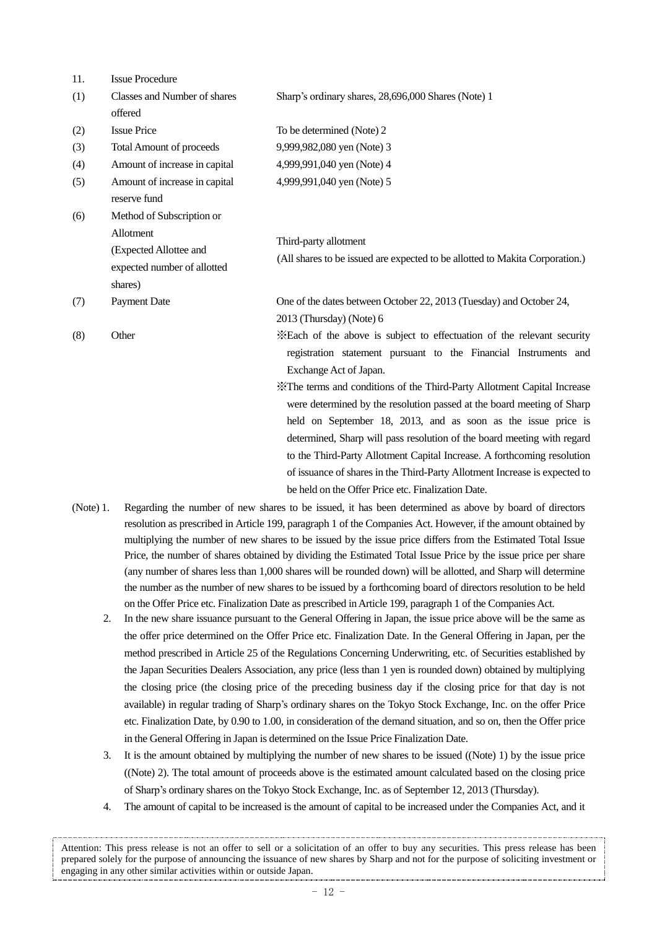| 11. | <b>Issue Procedure</b>          |                                                                              |
|-----|---------------------------------|------------------------------------------------------------------------------|
| (1) | Classes and Number of shares    | Sharp's ordinary shares, 28,696,000 Shares (Note) 1                          |
|     | offered                         |                                                                              |
| (2) | <b>Issue Price</b>              | To be determined (Note) 2                                                    |
| (3) | <b>Total Amount of proceeds</b> | 9,999,982,080 yen (Note) 3                                                   |
| (4) | Amount of increase in capital   | 4,999,991,040 yen (Note) 4                                                   |
| (5) | Amount of increase in capital   | 4,999,991,040 yen (Note) 5                                                   |
|     | reserve fund                    |                                                                              |
| (6) | Method of Subscription or       |                                                                              |
|     | Allotment                       | Third-party allotment                                                        |
|     | (Expected Allottee and          | (All shares to be issued are expected to be allotted to Makita Corporation.) |
|     | expected number of allotted     |                                                                              |
|     | shares)                         |                                                                              |
| (7) | <b>Payment Date</b>             | One of the dates between October 22, 2013 (Tuesday) and October 24,          |
|     |                                 | 2013 (Thursday) (Note) 6                                                     |
| (8) | Other                           | *Each of the above is subject to effectuation of the relevant security       |
|     |                                 | registration statement pursuant to the Financial Instruments and             |
|     |                                 | Exchange Act of Japan.                                                       |
|     |                                 | X The terms and conditions of the Third-Party Allotment Capital Increase     |
|     |                                 | were determined by the resolution passed at the board meeting of Sharp       |
|     |                                 | held on September 18, 2013, and as soon as the issue price is                |
|     |                                 | determined, Sharp will pass resolution of the board meeting with regard      |
|     |                                 | to the Third-Party Allotment Capital Increase. A forthcoming resolution      |
|     |                                 | of issuance of shares in the Third-Party Allotment Increase is expected to   |

(Note) 1. Regarding the number of new shares to be issued, it has been determined as above by board of directors resolution as prescribed in Article 199, paragraph 1 of the Companies Act. However, if the amount obtained by multiplying the number of new shares to be issued by the issue price differs from the Estimated Total Issue Price, the number of shares obtained by dividing the Estimated Total Issue Price by the issue price per share (any number of shares less than 1,000 shares will be rounded down) will be allotted, and Sharp will determine the number as the number of new shares to be issued by a forthcoming board of directors resolution to be held on the Offer Price etc. Finalization Date as prescribed in Article 199, paragraph 1 of the Companies Act.

be held on the Offer Price etc. Finalization Date.

- 2. In the new share issuance pursuant to the General Offering in Japan, the issue price above will be the same as the offer price determined on the Offer Price etc. Finalization Date. In the General Offering in Japan, per the method prescribed in Article 25 of the Regulations Concerning Underwriting, etc. of Securities established by the Japan Securities Dealers Association, any price (less than 1 yen is rounded down) obtained by multiplying the closing price (the closing price of the preceding business day if the closing price for that day is not available) in regular trading of Sharp's ordinary shares on the Tokyo Stock Exchange, Inc. on the offer Price etc. Finalization Date, by 0.90 to 1.00, in consideration of the demand situation, and so on, then the Offer price in the General Offering in Japan is determined on the Issue Price Finalization Date.
- 3. It is the amount obtained by multiplying the number of new shares to be issued ((Note) 1) by the issue price ((Note) 2). The total amount of proceeds above is the estimated amount calculated based on the closing price of Sharp's ordinary shares on the Tokyo Stock Exchange, Inc. as of September 12, 2013 (Thursday).
- 4. The amount of capital to be increased is the amount of capital to be increased under the Companies Act, and it